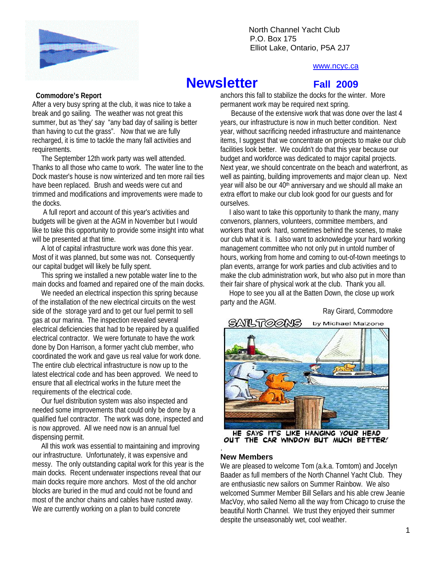

North Channel Yacht Club \ P.O. Box 175 Elliot Lake, Ontario, P5A 2J7

#### www.ncyc.ca

# **Newsletter** Fall 2009

 **Commodore's Report** 

After a very busy spring at the club, it was nice to take a break and go sailing. The weather was not great this summer, but as 'they' say "any bad day of sailing is better than having to cut the grass". Now that we are fully recharged, it is time to tackle the many fall activities and requirements.

 The September 12th work party was well attended. Thanks to all those who came to work. The water line to the Dock master's house is now winterized and ten more rail ties have been replaced. Brush and weeds were cut and trimmed and modifications and improvements were made to the docks.

 A full report and account of this year's activities and budgets will be given at the AGM in November but I would like to take this opportunity to provide some insight into what will be presented at that time.

 A lot of capital infrastructure work was done this year. Most of it was planned, but some was not. Consequently our capital budget will likely be fully spent.

 This spring we installed a new potable water line to the main docks and foamed and repaired one of the main docks.

We needed an electrical inspection this spring because of the installation of the new electrical circuits on the west side of the storage yard and to get our fuel permit to sell gas at our marina. The inspection revealed several electrical deficiencies that had to be repaired by a qualified electrical contractor. We were fortunate to have the work done by Don Harrison, a former yacht club member, who coordinated the work and gave us real value for work done. The entire club electrical infrastructure is now up to the latest electrical code and has been approved. We need to ensure that all electrical works in the future meet the requirements of the electrical code.

 Our fuel distribution system was also inspected and needed some improvements that could only be done by a qualified fuel contractor. The work was done, inspected and is now approved. All we need now is an annual fuel dispensing permit.

 All this work was essential to maintaining and improving our infrastructure. Unfortunately, it was expensive and messy. The only outstanding capital work for this year is the main docks. Recent underwater inspections reveal that our main docks require more anchors. Most of the old anchor blocks are buried in the mud and could not be found and most of the anchor chains and cables have rusted away. We are currently working on a plan to build concrete

anchors this fall to stabilize the docks for the winter. More permanent work may be required next spring.

 Because of the extensive work that was done over the last 4 years, our infrastructure is now in much better condition. Next year, without sacrificing needed infrastructure and maintenance items, I suggest that we concentrate on projects to make our club facilities look better. We couldn't do that this year because our budget and workforce was dedicated to major capital projects. Next year, we should concentrate on the beach and waterfront, as well as painting, building improvements and major clean up. Next year will also be our 40<sup>th</sup> anniversary and we should all make an extra effort to make our club look good for our guests and for ourselves.

 I also want to take this opportunity to thank the many, many convenors, planners, volunteers, committee members, and workers that work hard, sometimes behind the scenes, to make our club what it is. I also want to acknowledge your hard working management committee who not only put in untold number of hours, working from home and coming to out-of-town meetings to plan events, arrange for work parties and club activities and to make the club administration work, but who also put in more than their fair share of physical work at the club. Thank you all.

 Hope to see you all at the Batten Down, the close up work party and the AGM.

Ray Girard, Commodore



HE SAYS IT'S LIKE HANGING YOUR HEAD<br>OUT THE CAR WINDOW BUT MUCH BETTER! .

#### **New Members**

We are pleased to welcome Tom (a.k.a. Tomtom) and Jocelyn Baader as full members of the North Channel Yacht Club. They are enthusiastic new sailors on Summer Rainbow. We also welcomed Summer Member Bill Sellars and his able crew Jeanie MacVoy, who sailed Nemo all the way from Chicago to cruise the beautiful North Channel. We trust they enjoyed their summer despite the unseasonably wet, cool weather.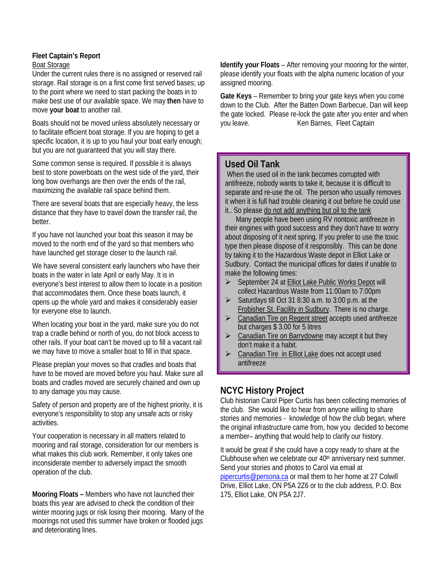#### **Fleet Captain's Report**  Boat Storage

Under the current rules there is no assigned or reserved rail storage. Rail storage is on a first come first served bases; up to the point where we need to start packing the boats in to make best use of our available space. We may **then** have to move **your boat** to another rail.

Boats should not be moved unless absolutely necessary or to facilitate efficient boat storage. If you are hoping to get a specific location, it is up to you haul your boat early enough; but you are not guaranteed that you will stay there.

Some common sense is required. If possible it is always best to store powerboats on the west side of the yard, their long bow overhangs are then over the ends of the rail, maximizing the available rail space behind them.

There are several boats that are especially heavy, the less distance that they have to travel down the transfer rail, the better.

If you have not launched your boat this season it may be moved to the north end of the yard so that members who have launched get storage closer to the launch rail.

We have several consistent early launchers who have their boats in the water in late April or early May. It is in everyone's best interest to allow them to locate in a position that accommodates them. Once these boats launch, it opens up the whole yard and makes it considerably easier for everyone else to launch.

When locating your boat in the yard, make sure you do not trap a cradle behind or north of you, do not block access to other rails. If your boat can't be moved up to fill a vacant rail we may have to move a smaller boat to fill in that space.

Please preplan your moves so that cradles and boats that have to be moved are moved before you haul. Make sure all boats and cradles moved are securely chained and own up to any damage you may cause.

Safety of person and property are of the highest priority, it is everyone's responsibility to stop any unsafe acts or risky activities.

Your cooperation is necessary in all matters related to mooring and rail storage, consideration for our members is what makes this club work. Remember, it only takes one inconsiderate member to adversely impact the smooth operation of the club.

**Mooring Floats –** Members who have not launched their boats this year are advised to check the condition of their winter mooring jugs or risk losing their mooring. Many of the moorings not used this summer have broken or flooded jugs and deteriorating lines.

**Identify your Floats** – After removing your mooring for the winter, please identify your floats with the alpha numeric location of your assigned mooring.

**Gate Keys** – Remember to bring your gate keys when you come down to the Club. After the Batten Down Barbecue, Dan will keep the gate locked. Please re-lock the gate after you enter and when you leave. Ken Barnes, Fleet Captain

## **Used Oil Tank**

 When the used oil in the tank becomes corrupted with antifreeze, nobody wants to take it, because it is difficult to separate and re-use the oil. The person who usually removes it when it is full had trouble cleaning it out before he could use it.. So please do not add anything but oil to the tank

 Many people have been using RV nontoxic antifreeze in their engines with good success and they don't have to worry about disposing of it next spring. If you prefer to use the toxic type then please dispose of it responsibly. This can be done by taking it to the Hazardous Waste depot in Elliot Lake or Sudbury. Contact the municipal offices for dates if unable to make the following times:

- ▶ September 24 at Elliot Lake Public Works Depot will collect Hazardous Waste from 11:00am to 7:00pm
- Saturdays till Oct 31 8:30 a.m. to 3:00 p.m. at the Frobisher St. Facility in Sudbury. There is no charge.
- Canadian Tire on Regent street accepts used antifreeze but charges \$ 3.00 for 5 litres
- Canadian Tire on Barrydowne may accept it but they don't make it a habit.
- Canadian Tire in Elliot Lake does not accept used antifreeze

# **NCYC History Project**

Club historian Carol Piper Curtis has been collecting memories of the club. She would like to hear from anyone willing to share stories and memories - knowledge of how the club began, where the original infrastructure came from, how you decided to become a member– anything that would help to clarify our history.

It would be great if she could have a copy ready to share at the Clubhouse when we celebrate our 40<sup>th</sup> anniversary next summer. Send your stories and photos to Carol via email at pipercurtis@persona.ca or mail them to her home at 27 Colwill Drive, Elliot Lake, ON P5A 2Z6 or to the club address, P.O. Box 175, Elliot Lake, ON P5A 2J7.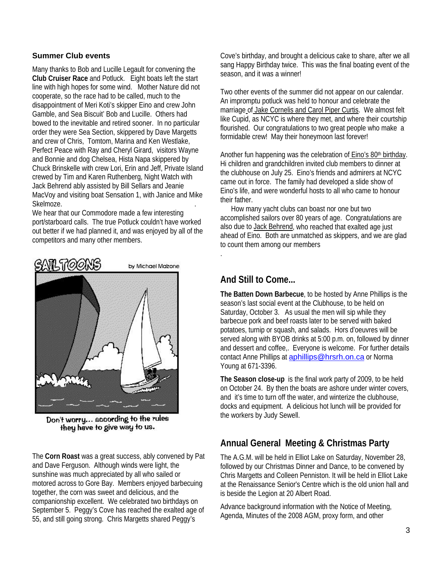### **Summer Club events**

Many thanks to Bob and Lucille Legault for convening the **Club Cruiser Race** and Potluck. Eight boats left the start line with high hopes for some wind. Mother Nature did not cooperate, so the race had to be called, much to the disappointment of Meri Koti's skipper Eino and crew John Gamble, and Sea Biscuit' Bob and Lucille. Others had bowed to the inevitable and retired sooner. In no particular order they were Sea Section, skippered by Dave Margetts and crew of Chris, Tomtom, Marina and Ken Westlake, Perfect Peace with Ray and Cheryl Girard, visitors Wayne and Bonnie and dog Chelsea, Hista Napa skippered by Chuck Brinskelle with crew Lori, Erin and Jeff, Private Island crewed by Tim and Karen Ruthenberg, Night Watch with Jack Behrend ably assisted by Bill Sellars and Jeanie MacVoy and visiting boat Sensation 1, with Janice and Mike Skelmoze.

We hear that our Commodore made a few interesting port/starboard calls. The true Potluck couldn't have worked out better if we had planned it, and was enjoyed by all of the competitors and many other members.



Don't worry... according to the rules they have to give way to us.

The **Corn Roast** was a great success, ably convened by Pat and Dave Ferguson. Although winds were light, the sunshine was much appreciated by all who sailed or motored across to Gore Bay. Members enjoyed barbecuing together, the corn was sweet and delicious, and the companionship excellent. We celebrated two birthdays on September 5. Peggy's Cove has reached the exalted age of 55, and still going strong. Chris Margetts shared Peggy's

Cove's birthday, and brought a delicious cake to share, after we all sang Happy Birthday twice. This was the final boating event of the season, and it was a winner!

Two other events of the summer did not appear on our calendar. An impromptu potluck was held to honour and celebrate the marriage of Jake Cornelis and Carol Piper Curtis. We almost felt like Cupid, as NCYC is where they met, and where their courtship flourished. Our congratulations to two great people who make a formidable crew! May their honeymoon last forever!

Another fun happening was the celebration of Eino's 80<sup>th</sup> birthday. Hi children and grandchildren invited club members to dinner at the clubhouse on July 25. Eino's friends and admirers at NCYC came out in force. The family had developed a slide show of Eino's life, and were wonderful hosts to all who came to honour their father.

 How many yacht clubs can boast nor one but two accomplished sailors over 80 years of age. Congratulations are also due to Jack Behrend, who reached that exalted age just ahead of Eino. Both are unmatched as skippers, and we are glad to count them among our members

## **And Still to Come...**

.

**The Batten Down Barbecue**, to be hosted by Anne Phillips is the season's last social event at the Clubhouse, to be held on Saturday, October 3. As usual the men will sip while they barbecue pork and beef roasts later to be served with baked potatoes, turnip or squash, and salads. Hors d'oeuvres will be served along with BYOB drinks at 5:00 p.m. on, followed by dinner and dessert and coffee,. Everyone is welcome. For further details contact Anne Phillips at **aphillips@hrsrh.on.ca** or Norma Young at 671-3396.

**The Season close-up** is the final work party of 2009, to be held on October 24. By then the boats are ashore under winter covers, and it's time to turn off the water, and winterize the clubhouse, docks and equipment. A delicious hot lunch will be provided for the workers by Judy Sewell.

# **Annual General Meeting & Christmas Party**

The A.G.M. will be held in Elliot Lake on Saturday, November 28, followed by our Christmas Dinner and Dance, to be convened by Chris Margetts and Colleen Penniston. It will be held in Elliot Lake at the Renaissance Senior's Centre which is the old union hall and is beside the Legion at 20 Albert Road.

Advance background information with the Notice of Meeting, Agenda, Minutes of the 2008 AGM, proxy form, and other